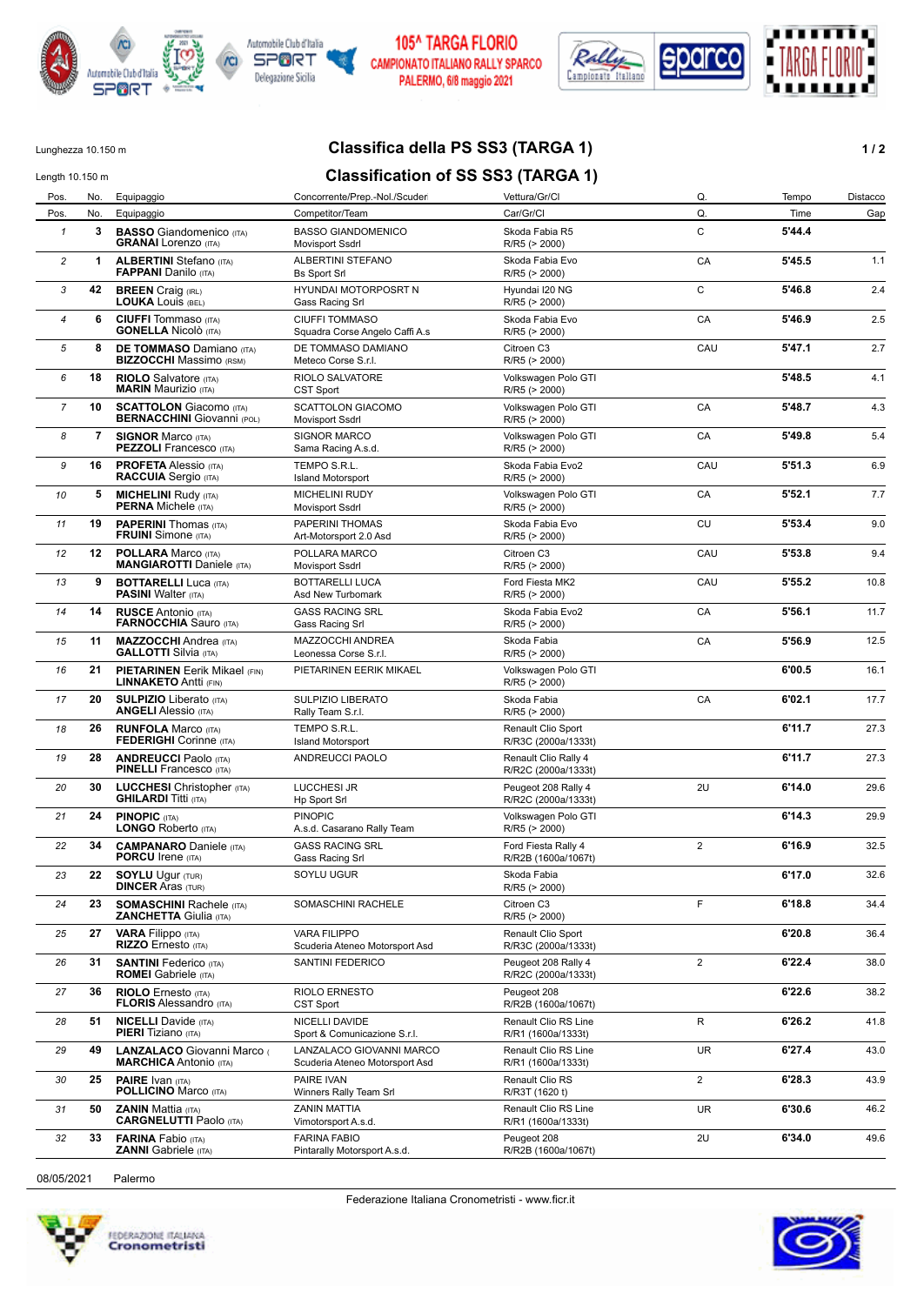



## **105^ TARGA FLORIO** CAMPIONATO ITALIANO RALLY SPARCO PALERMO, 6/8 maggio 2021



Lunghezza 10.150 m **Classifica della PS SS3 (TARGA 1) 1/2** 

## Length 10.150 m **Classification of SS SS3 (TARGA 1)**

| Pos.           | No. | Equipaggio                                                           | Concorrente/Prep.-Nol./Scuder                              | Vettura/Gr/Cl                               | Q.             | Tempo  | Distacco |
|----------------|-----|----------------------------------------------------------------------|------------------------------------------------------------|---------------------------------------------|----------------|--------|----------|
| Pos.           | No. | Equipaggio                                                           | Competitor/Team                                            | Car/Gr/Cl                                   | Q.             | Time   | Gap      |
| $\mathbf{1}$   | 3   | <b>BASSO</b> Giandomenico (ITA)<br><b>GRANAI</b> Lorenzo (ITA)       | <b>BASSO GIANDOMENICO</b><br><b>Movisport Ssdrl</b>        | Skoda Fabia R5<br>R/R5 (> 2000)             | C              | 5'44.4 |          |
| $\overline{c}$ | 1   | <b>ALBERTINI</b> Stefano (ITA)<br><b>FAPPANI</b> Danilo (ITA)        | ALBERTINI STEFANO<br><b>Bs Sport Srl</b>                   | Skoda Fabia Evo<br>R/R5 (> 2000)            | CA             | 5'45.5 | 1.1      |
| 3              | 42  | <b>BREEN</b> Craig (IRL)<br><b>LOUKA LOUIS (BEL)</b>                 | HYUNDAI MOTORPOSRT N<br>Gass Racing Srl                    | Hyundai I20 NG<br>R/R5 (> 2000)             | C              | 5'46.8 | 2.4      |
| $\overline{4}$ | 6   | <b>CIUFFI</b> Tommaso (ITA)<br><b>GONELLA Nicolò</b> (ITA)           | <b>CIUFFI TOMMASO</b><br>Squadra Corse Angelo Caffi A.s    | Skoda Fabia Evo<br>R/R5 (> 2000)            | CA             | 5'46.9 | 2.5      |
| 5              | 8   | <b>DE TOMMASO Damiano (ITA)</b><br><b>BIZZOCCHI</b> Massimo (RSM)    | DE TOMMASO DAMIANO<br>Meteco Corse S.r.l.                  | Citroen C3<br>R/R5 (> 2000)                 | CAU            | 5'47.1 | 2.7      |
| 6              | 18  | <b>RIOLO</b> Salvatore (ITA)<br><b>MARIN Maurizio (ITA)</b>          | RIOLO SALVATORE<br>CST Sport                               | Volkswagen Polo GTI<br>R/R5 (> 2000)        |                | 5'48.5 | 4.1      |
| $\overline{7}$ | 10  | <b>SCATTOLON</b> Giacomo (ITA)<br><b>BERNACCHINI</b> Giovanni (POL)  | <b>SCATTOLON GIACOMO</b><br>Movisport Ssdrl                | Volkswagen Polo GTI<br>R/R5 (> 2000)        | CA             | 5'48.7 | 4.3      |
| 8              | 7   | <b>SIGNOR Marco (ITA)</b><br><b>PEZZOLI</b> Francesco (ITA)          | <b>SIGNOR MARCO</b><br>Sama Racing A.s.d.                  | Volkswagen Polo GTI<br>R/R5 (> 2000)        | CA             | 5'49.8 | 5.4      |
| 9              | 16  | <b>PROFETA Alessio (ITA)</b><br><b>RACCUIA</b> Sergio (ITA)          | TEMPO S.R.L.<br><b>Island Motorsport</b>                   | Skoda Fabia Evo2<br>R/R5 (> 2000)           | CAU            | 5'51.3 | 6.9      |
| 10             | 5   | <b>MICHELINI Rudy (ITA)</b><br><b>PERNA Michele (ITA)</b>            | <b>MICHELINI RUDY</b><br>Movisport Ssdrl                   | Volkswagen Polo GTI<br>R/R5 (> 2000)        | CA             | 5'52.1 | 7.7      |
| 11             | 19  | <b>PAPERINI</b> Thomas (ITA)<br><b>FRUINI</b> Simone (ITA)           | PAPERINI THOMAS<br>Art-Motorsport 2.0 Asd                  | Skoda Fabia Evo<br>R/R5 (> 2000)            | CU             | 5'53.4 | 9.0      |
| 12             | 12  | <b>POLLARA</b> Marco (ITA)<br><b>MANGIAROTTI Daniele (ITA)</b>       | POLLARA MARCO<br>Movisport Ssdrl                           | Citroen C3<br>R/R5 (> 2000)                 | CAU            | 5'53.8 | 9.4      |
| 13             | 9   | <b>BOTTARELLI Luca (ITA)</b><br><b>PASINI Walter (ITA)</b>           | <b>BOTTARELLI LUCA</b><br>Asd New Turbomark                | Ford Fiesta MK2<br>R/R5 (> 2000)            | CAU            | 5'55.2 | 10.8     |
| 14             | 14  | <b>RUSCE Antonio (ITA)</b><br><b>FARNOCCHIA Sauro (ITA)</b>          | <b>GASS RACING SRL</b><br>Gass Racing Srl                  | Skoda Fabia Evo2<br>R/R5 (> 2000)           | CA             | 5'56.1 | 11.7     |
| 15             | 11  | <b>MAZZOCCHI</b> Andrea (ITA)<br><b>GALLOTTI Silvia (ITA)</b>        | MAZZOCCHI ANDREA<br>Leonessa Corse S.r.l.                  | Skoda Fabia<br>R/R5 (> 2000)                | CA             | 5'56.9 | 12.5     |
| 16             | 21  | <b>PIETARINEN</b> Eerik Mikael (FIN)<br><b>LINNAKETO Antti (FIN)</b> | PIETARINEN EERIK MIKAEL                                    | Volkswagen Polo GTI<br>R/R5 (> 2000)        |                | 6'00.5 | 16.1     |
| 17             | 20  | <b>SULPIZIO</b> Liberato (ITA)<br><b>ANGELI Alessio (ITA)</b>        | SULPIZIO LIBERATO<br>Rally Team S.r.l.                     | Skoda Fabia<br>R/R5 (> 2000)                | CA             | 6'02.1 | 17.7     |
| 18             | 26  | <b>RUNFOLA Marco (ITA)</b><br><b>FEDERIGHI</b> Corinne (ITA)         | TEMPO S.R.L.<br><b>Island Motorsport</b>                   | Renault Clio Sport<br>R/R3C (2000a/1333t)   |                | 6'11.7 | 27.3     |
| 19             | 28  | <b>ANDREUCCI Paolo (ITA)</b><br><b>PINELLI</b> Francesco (ITA)       | ANDREUCCI PAOLO                                            | Renault Clio Rally 4<br>R/R2C (2000a/1333t) |                | 6'11.7 | 27.3     |
| 20             | 30  | <b>LUCCHESI</b> Christopher (ITA)<br><b>GHILARDI Titti (ITA)</b>     | <b>LUCCHESI JR</b><br>Hp Sport Srl                         | Peugeot 208 Rally 4<br>R/R2C (2000a/1333t)  | 2U             | 6'14.0 | 29.6     |
| 21             | 24  | <b>PINOPIC (ITA)</b><br>LONGO Roberto (ITA)                          | <b>PINOPIC</b><br>A.s.d. Casarano Rally Team               | Volkswagen Polo GTI<br>R/R5 (> 2000)        |                | 6'14.3 | 29.9     |
| 22             | 34  | <b>CAMPANARO</b> Daniele (ITA)<br><b>PORCU Irene (ITA)</b>           | <b>GASS RACING SRL</b><br>Gass Racing Srl                  | Ford Fiesta Rally 4<br>R/R2B (1600a/1067t)  | $\overline{2}$ | 6'16.9 | 32.5     |
| 23             | 22  | <b>SOYLU Ugur (TUR)</b><br><b>DINCER Aras (TUR)</b>                  | SOYLU UGUR                                                 | Skoda Fabia<br>R/R5 (> 2000)                |                | 6'17.0 | 32.6     |
| 24             | 23  | <b>SOMASCHINI Rachele (ITA)</b><br><b>ZANCHETTA Giulia (ITA)</b>     | SOMASCHINI RACHELE                                         | Citroen C3<br>R/R5 (> 2000)                 | F              | 6'18.8 | 34.4     |
| 25             | 27  | <b>VARA Filippo</b> (ITA)<br>RIZZO Ernesto (ITA)                     | <b>VARA FILIPPO</b><br>Scuderia Ateneo Motorsport Asd      | Renault Clio Sport<br>R/R3C (2000a/1333t)   |                | 6'20.8 | 36.4     |
| 26             | 31  | <b>SANTINI</b> Federico (ITA)<br><b>ROMEI</b> Gabriele (ITA)         | SANTINI FEDERICO                                           | Peugeot 208 Rally 4<br>R/R2C (2000a/1333t)  | $\overline{2}$ | 6'22.4 | 38.0     |
| 27             | 36  | <b>RIOLO</b> Ernesto (ITA)<br><b>FLORIS Alessandro (ITA)</b>         | RIOLO ERNESTO<br>CST Sport                                 | Peugeot 208<br>R/R2B (1600a/1067t)          |                | 6'22.6 | 38.2     |
| 28             | 51  | <b>NICELLI</b> Davide (ITA)<br><b>PIERI</b> Tiziano (ITA)            | NICELLI DAVIDE<br>Sport & Comunicazione S.r.l.             | Renault Clio RS Line<br>R/R1 (1600a/1333t)  | R              | 6'26.2 | 41.8     |
| 29             | 49  | LANZALACO Giovanni Marco<br><b>MARCHICA</b> Antonio (ITA)            | LANZALACO GIOVANNI MARCO<br>Scuderia Ateneo Motorsport Asd | Renault Clio RS Line<br>R/R1 (1600a/1333t)  | <b>UR</b>      | 6'27.4 | 43.0     |
| 30             | 25  | <b>PAIRE</b> Ivan (ITA)<br><b>POLLICINO Marco (ITA)</b>              | PAIRE IVAN<br>Winners Rally Team Srl                       | Renault Clio RS<br>R/R3T (1620 t)           | $\overline{2}$ | 6'28.3 | 43.9     |
| 31             | 50  | <b>ZANIN Mattia (ITA)</b><br><b>CARGNELUTTI Paolo (ITA)</b>          | <b>ZANIN MATTIA</b><br>Vimotorsport A.s.d.                 | Renault Clio RS Line<br>R/R1 (1600a/1333t)  | UR             | 6'30.6 | 46.2     |
| 32             | 33  | <b>FARINA</b> Fabio (ITA)<br><b>ZANNI</b> Gabriele (ITA)             | <b>FARINA FABIO</b><br>Pintarally Motorsport A.s.d.        | Peugeot 208<br>R/R2B (1600a/1067t)          | 2U             | 6'34.0 | 49.6     |
|                |     |                                                                      |                                                            |                                             |                |        |          |

Federazione Italiana Cronometristi - www.ficr.it

08/05/2021 Palermo